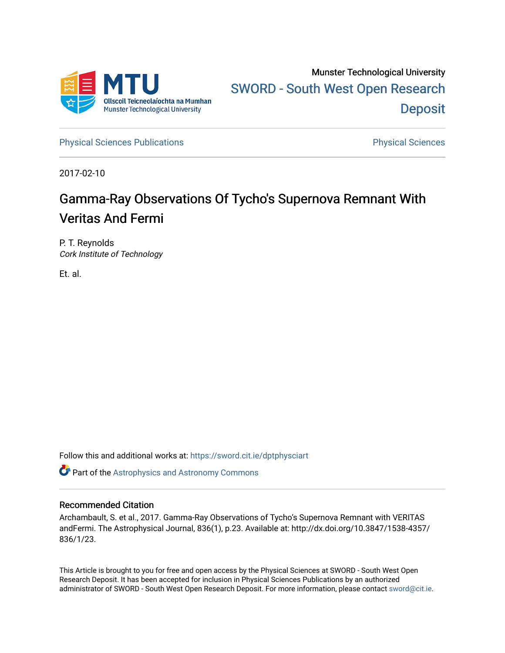

[Physical Sciences Publications](https://sword.cit.ie/dptphysciart) **Physical Sciences** Physical Sciences

2017-02-10

# Gamma-Ray Observations Of Tycho's Supernova Remnant With Veritas And Fermi

P. T. Reynolds Cork Institute of Technology

Et. al.

Follow this and additional works at: [https://sword.cit.ie/dptphysciart](https://sword.cit.ie/dptphysciart?utm_source=sword.cit.ie%2Fdptphysciart%2F78&utm_medium=PDF&utm_campaign=PDFCoverPages)

**C** Part of the Astrophysics and Astronomy Commons

# Recommended Citation

Archambault, S. et al., 2017. Gamma-Ray Observations of Tycho's Supernova Remnant with VERITAS andFermi. The Astrophysical Journal, 836(1), p.23. Available at: http://dx.doi.org/10.3847/1538-4357/ 836/1/23.

This Article is brought to you for free and open access by the Physical Sciences at SWORD - South West Open Research Deposit. It has been accepted for inclusion in Physical Sciences Publications by an authorized administrator of SWORD - South West Open Research Deposit. For more information, please contact [sword@cit.ie.](mailto:sword@cit.ie)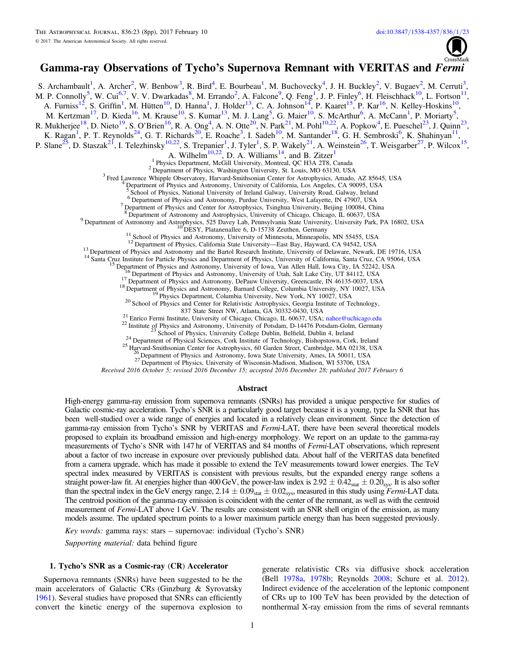

## Gamma-ray Observations of Tycho's Supernova Remnant with VERITAS and Fermi

<span id="page-1-11"></span><span id="page-1-10"></span><span id="page-1-9"></span><span id="page-1-8"></span><span id="page-1-7"></span><span id="page-1-6"></span><span id="page-1-5"></span><span id="page-1-4"></span><span id="page-1-3"></span><span id="page-1-2"></span><span id="page-1-1"></span><span id="page-1-0"></span>S. Archambault<sup>[1](#page-1-0)</sup>, A. Archer<sup>[2](#page-1-1)</sup>, W. Benbow<sup>[3](#page-1-2)</sup>, R. Bird<sup>[4](#page-1-3)</sup>, E. Bourbeau<sup>1</sup>, M. Buchovecky<sup>4</sup>, J. H. Buckley<sup>2</sup>, V. Bugaev<sup>2</sup>, M. Cerruti<sup>3</sup>, M. P. Connolly<sup>5</sup>, W. Cui<sup>[6,](#page-1-5)[7](#page-1-6)</sup>, V. V. Dwarkadas<sup>[8](#page-1-7)</sup>, M. Errando<sup>[2](#page-1-1)</sup>, A. Falcone<sup>[9](#page-1-8)</sup>, Q. Feng<sup>[1](#page-1-0)</sup>, J. P. Finley<sup>6</sup>, H. Fleischhack<sup>[10](#page-1-9)</sup>, L. Fortson<sup>[11](#page-1-10)</sup>, A. Furniss<sup>[1](#page-1-0)2</sup>, S. Griffin<sup>1</sup>, M. Hütten<sup>10</sup>, D. Hanna<sup>1</sup>, J. Holder<sup>[13](#page-1-12)</sup>, C. A. Johnson<sup>14</sup>, P. Kaaret<sup>15</sup>, P. Kar<sup>16</sup>, N. Kelley-Hoskins<sup>10</sup>, M. Kertzman<sup>[17](#page-1-16)</sup>, D. Kieda<sup>16</sup>, M. Krause<sup>[10](#page-1-9)</sup>, S. Kumar<sup>13</sup>, M. J. Lang<sup>5</sup>, G. Maier<sup>10</sup>, S. McArthur<sup>[6](#page-1-5)</sup>, A. McCann<sup>[1](#page-1-0)</sup>, P. Moriarty<sup>[5](#page-1-4)</sup>, R. Mukherjee<sup>[18](#page-1-17)</sup>, D. Nieto<sup>19</sup>, S. O'Brien<sup>[16](#page-1-15)</sup>, R. A. Ong<sup>[4](#page-1-3)</sup>, A. N. Otte<sup>20</sup>, N. Park<sup>[21](#page-1-20)</sup>, M. Pohl<sup>10,22</sup>, A. Popkow<sup>4</sup>, E. Pueschel<sup>[23](#page-1-22)</sup>, J. Quinn<sup>23</sup>, K. Ragan<sup>[1](#page-1-0)</sup>, P. T. Reynolds<sup>[24](#page-1-23)</sup>, G. T. Richards<sup>20</sup>, E. Roache<sup>[3](#page-1-2)</sup>, I. Sadeh<sup>10</sup>, M. Santander<sup>[18](#page-1-17)</sup>, G. H. Sembroski<sup>6</sup>, K. Shahinyan<sup>11</sup>, P. Slane<sup>[25](#page-1-24)</sup>, D. Staszak<sup>2[1](#page-1-0)</sup>, I. Telezhinsky<sup>10,22</sup>, S. Trepanier<sup>1</sup>, J. Tyler<sup>1</sup>, S. P. Wakely<sup>21</sup>, A. Weinstein<sup>26</sup>, T. Weisgarber<sup>27</sup>, P. Wilcox<sup>[15](#page-1-14)</sup>, A. Wilhelm<sup>[10,](#page-1-9)[22](#page-1-21)</sup>, D. A. Williams<sup>[1](#page-1-0)4</sup>, and B. Zitzer<sup>1</sup> <sup>1</sup> Physics Department, McGill University, Montreal, QC H3A 2T8, Canada<br><sup>2</sup> Department of Physics, Washington University, St. Louis, MO 63130, USA<br><sup>3</sup> Fred Lawrence Whipple Observatory, Harvard-Smithsonian Center for Astro <sup>5</sup> School of Physics, National University of Ireland Galway, University Road, Galway, Ireland <sup>6</sup> Department of Physics and Astronomy, Purdue University, West Lafayette, IN 47907, USA<br><sup>7</sup> Department of Physics and Center for Astrophysics, Tsinghua University, Beijing 100084, China<br><sup>8</sup> Department of Astronomy and As 9 Department of Astronomy and Astrophysics, 525 Davey Lab, Pennsylvania State University, University Park, PA 16802, USA<br>
<sup>10</sup> DESY, Platanenallee 6, D-15738 Zeuthen, Germany<br>
<sup>11</sup> School of Physics and Astronomy, Univers <sup>21</sup> Enrico Fermi Institute, University of Chicago, Chicago, IL 60637, USA; [nahee@uchicago.edu](mailto:nahee@uchicago.edu)<br>
<sup>22</sup> Institute of Physics and Astronomy, University of Potsdam, D-14476 Potsdam-Golm, Germany<br>
<sup>23</sup> School of Physics, Univer Received 2016 October 5; revised 2016 December 15; accepted 2016 December 28; published 2017 February 6

#### Abstract

<span id="page-1-26"></span><span id="page-1-25"></span><span id="page-1-24"></span><span id="page-1-23"></span><span id="page-1-22"></span><span id="page-1-21"></span><span id="page-1-20"></span><span id="page-1-19"></span><span id="page-1-18"></span><span id="page-1-17"></span><span id="page-1-16"></span><span id="page-1-15"></span><span id="page-1-14"></span><span id="page-1-13"></span><span id="page-1-12"></span>High-energy gamma-ray emission from supernova remnants (SNRs) has provided a unique perspective for studies of Galactic cosmic-ray acceleration. Tycho's SNR is a particularly good target because it is a young, type Ia SNR that has been well-studied over a wide range of energies and located in a relatively clean environment. Since the detection of gamma-ray emission from Tycho's SNR by VERITAS and *Fermi*-LAT, there have been several theoretical models proposed to explain its broadband emission and high-energy morphology. We report on an update to the gamma-ray measurements of Tycho's SNR with 147 hr of VERITAS and 84 months of Fermi-LAT observations, which represent about a factor of two increase in exposure over previously published data. About half of the VERITAS data benefited from a camera upgrade, which has made it possible to extend the TeV measurements toward lower energies. The TeV spectral index measured by VERITAS is consistent with previous results, but the expanded energy range softens a straight power-law fit. At energies higher than 400 GeV, the power-law index is  $2.92 \pm 0.42$ <sub>stat</sub>  $\pm 0.20$ <sub>sys</sub>. It is also softer than the spectral index in the GeV energy range,  $2.14 \pm 0.09_{stat} \pm 0.02_{sys}$ , measured in this study using *Fermi*-LAT data. The centroid position of the gamma-ray emission is coincident with the center of the remnant, as well as with the centroid measurement of Fermi-LAT above 1 GeV. The results are consistent with an SNR shell origin of the emission, as many models assume. The updated spectrum points to a lower maximum particle energy than has been suggested previously.

Key words: gamma rays: stars – supernovae: individual (Tycho's SNR)

Supporting material: data behind figure

#### 1. Tycho's SNR as a Cosmic-ray (CR) Accelerator

Supernova remnants (SNRs) have been suggested to be the main accelerators of Galactic CRs (Ginzburg & Syrovatsky [1961](#page-8-0)). Several studies have proposed that SNRs can efficiently convert the kinetic energy of the supernova explosion to

generate relativistic CRs via diffusive shock acceleration (Bell [1978a,](#page-8-1) [1978b](#page-8-2); Reynolds [2008;](#page-8-3) Schure et al. [2012](#page-8-4)). Indirect evidence of the acceleration of the leptonic component of CRs up to 100 TeV has been provided by the detection of nonthermal X-ray emission from the rims of several remnants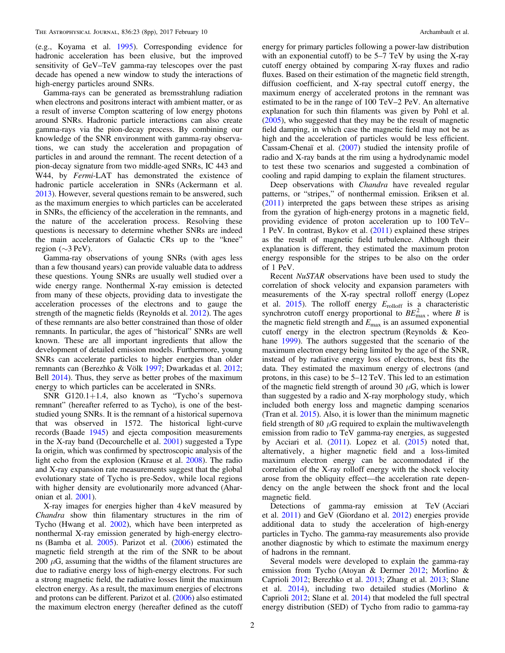(e.g., Koyama et al. [1995](#page-8-5)). Corresponding evidence for hadronic acceleration has been elusive, but the improved sensitivity of GeV–TeV gamma-ray telescopes over the past decade has opened a new window to study the interactions of high-energy particles around SNRs.

Gamma-rays can be generated as bremsstrahlung radiation when electrons and positrons interact with ambient matter, or as a result of inverse Compton scattering of low energy photons around SNRs. Hadronic particle interactions can also create gamma-rays via the pion-decay process. By combining our knowledge of the SNR environment with gamma-ray observations, we can study the acceleration and propagation of particles in and around the remnant. The recent detection of a pion-decay signature from two middle-aged SNRs, IC 443 and W44, by Fermi-LAT has demonstrated the existence of hadronic particle acceleration in SNRs (Ackermann et al. [2013](#page-7-0)). However, several questions remain to be answered, such as the maximum energies to which particles can be accelerated in SNRs, the efficiency of the acceleration in the remnants, and the nature of the acceleration process. Resolving these questions is necessary to determine whether SNRs are indeed the main accelerators of Galactic CRs up to the "knee" region (∼3 PeV).

Gamma-ray observations of young SNRs (with ages less than a few thousand years) can provide valuable data to address these questions. Young SNRs are usually well studied over a wide energy range. Nonthermal X-ray emission is detected from many of these objects, providing data to investigate the acceleration processes of the electrons and to gauge the strength of the magnetic fields (Reynolds et al. [2012](#page-8-6)). The ages of these remnants are also better constrained than those of older remnants. In particular, the ages of "historical" SNRs are well known. These are all important ingredients that allow the development of detailed emission models. Furthermore, young SNRs can accelerate particles to higher energies than older remnants can (Berezhko & Völk [1997](#page-8-7); Dwarkadas et al. [2012](#page-8-8); Bell [2014](#page-8-9)). Thus, they serve as better probes of the maximum energy to which particles can be accelerated in SNRs.

SNR G120.1+1.4, also known as "Tycho's supernova remnant" (hereafter referred to as Tycho), is one of the beststudied young SNRs. It is the remnant of a historical supernova that was observed in 1572. The historical light-curve records (Baade [1945](#page-8-10)) and ejecta composition measurements in the X-ray band (Decourchelle et al. [2001](#page-8-11)) suggested a Type Ia origin, which was confirmed by spectroscopic analysis of the light echo from the explosion (Krause et al. [2008](#page-8-12)). The radio and X-ray expansion rate measurements suggest that the global evolutionary state of Tycho is pre-Sedov, while local regions with higher density are evolutionarily more advanced (Aharonian et al. [2001](#page-8-13)).

X-ray images for energies higher than 4 keV measured by Chandra show thin filamentary structures in the rim of Tycho (Hwang et al. [2002](#page-8-14)), which have been interpreted as nonthermal X-ray emission generated by high-energy electrons (Bamba et al. [2005](#page-8-15)). Parizot et al. ([2006](#page-8-16)) estimated the magnetic field strength at the rim of the SNR to be about 200  $\mu$ G, assuming that the widths of the filament structures are due to radiative energy loss of high-energy electrons. For such a strong magnetic field, the radiative losses limit the maximum electron energy. As a result, the maximum energies of electrons and protons can be different. Parizot et al. ([2006](#page-8-16)) also estimated the maximum electron energy (hereafter defined as the cutoff

energy for primary particles following a power-law distribution with an exponential cutoff) to be 5–7 TeV by using the X-ray cutoff energy obtained by comparing X-ray fluxes and radio fluxes. Based on their estimation of the magnetic field strength, diffusion coefficient, and X-ray spectral cutoff energy, the maximum energy of accelerated protons in the remnant was estimated to be in the range of 100 TeV–2 PeV. An alternative explanation for such thin filaments was given by Pohl et al. ([2005](#page-8-17)), who suggested that they may be the result of magnetic field damping, in which case the magnetic field may not be as high and the acceleration of particles would be less efficient. Cassam-Chenaï et al. ([2007](#page-8-18)) studied the intensity profile of radio and X-ray bands at the rim using a hydrodynamic model to test these two scenarios and suggested a combination of cooling and rapid damping to explain the filament structures.

Deep observations with *Chandra* have revealed regular patterns, or "stripes," of nonthermal emission. Eriksen et al. ([2011](#page-8-19)) interpreted the gaps between these stripes as arising from the gyration of high-energy protons in a magnetic field, providing evidence of proton acceleration up to 100 TeV– 1 PeV. In contrast, Bykov et al. ([2011](#page-8-20)) explained these stripes as the result of magnetic field turbulence. Although their explanation is different, they estimated the maximum proton energy responsible for the stripes to be also on the order of 1 PeV.

Recent NuSTAR observations have been used to study the correlation of shock velocity and expansion parameters with measurements of the X-ray spectral rolloff energy (Lopez et al. [2015](#page-8-21)). The rolloff energy  $E_{\text{rolloff}}$  is a characteristic synchrotron cutoff energy proportional to  $BE_{\text{max}}^2$ , where B is the magnetic field strength and  $E_{\text{max}}$  is an assumed exponential cutoff energy in the electron spectrum (Reynolds & Keohane [1999](#page-8-22)). The authors suggested that the scenario of the maximum electron energy being limited by the age of the SNR, instead of by radiative energy loss of electrons, best fits the data. They estimated the maximum energy of electrons (and protons, in this case) to be 5–12 TeV. This led to an estimation of the magnetic field strength of around 30  $\mu$ G, which is lower than suggested by a radio and X-ray morphology study, which included both energy loss and magnetic damping scenarios (Tran et al. [2015](#page-8-23)). Also, it is lower than the minimum magnetic field strength of 80  $\mu$ G required to explain the multiwavelength emission from radio to TeV gamma-ray energies, as suggested by Acciari et al.  $(2011)$  $(2011)$  $(2011)$ . Lopez et al.  $(2015)$  $(2015)$  $(2015)$  noted that, alternatively, a higher magnetic field and a loss-limited maximum electron energy can be accommodated if the correlation of the X-ray rolloff energy with the shock velocity arose from the obliquity effect—the acceleration rate dependency on the angle between the shock front and the local magnetic field.

Detections of gamma-ray emission at TeV (Acciari et al. [2011](#page-7-1)) and GeV (Giordano et al. [2012](#page-8-24)) energies provide additional data to study the acceleration of high-energy particles in Tycho. The gamma-ray measurements also provide another diagnostic by which to estimate the maximum energy of hadrons in the remnant.

Several models were developed to explain the gamma-ray emission from Tycho (Atoyan & Dermer [2012](#page-8-25); Morlino & Caprioli [2012](#page-8-26); Berezhko et al. [2013;](#page-8-27) Zhang et al. [2013](#page-8-28); Slane et al. [2014](#page-8-29)), including two detailed studies (Morlino & Caprioli [2012](#page-8-26); Slane et al. [2014](#page-8-29)) that modeled the full spectral energy distribution (SED) of Tycho from radio to gamma-ray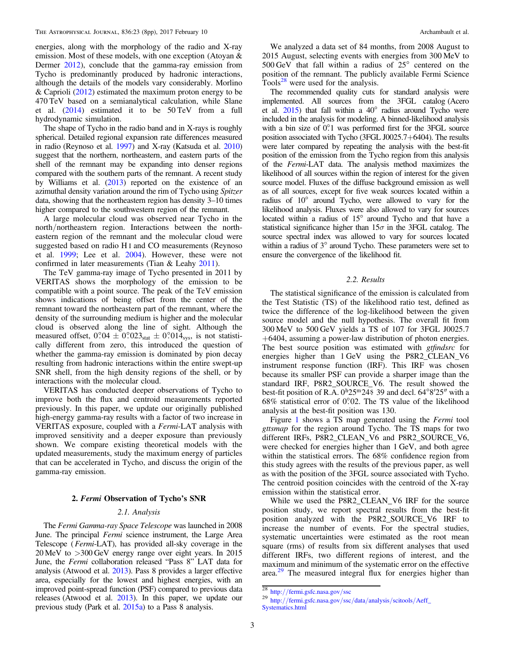energies, along with the morphology of the radio and X-ray emission. Most of these models, with one exception (Atoyan & Dermer [2012](#page-8-25)), conclude that the gamma-ray emission from Tycho is predominantly produced by hadronic interactions, although the details of the models vary considerably. Morlino & Caprioli  $(2012)$  $(2012)$  $(2012)$  estimated the maximum proton energy to be 470 TeV based on a semianalytical calculation, while Slane et al. ([2014](#page-8-29)) estimated it to be 50 TeV from a full hydrodynamic simulation.

The shape of Tycho in the radio band and in X-rays is roughly spherical. Detailed regional expansion rate differences measured in radio (Reynoso et al. [1997](#page-8-30)) and X-ray (Katsuda et al. [2010](#page-8-31)) suggest that the northern, northeastern, and eastern parts of the shell of the remnant may be expanding into denser regions compared with the southern parts of the remnant. A recent study by Williams et al. ([2013](#page-8-32)) reported on the existence of an azimuthal density variation around the rim of Tycho using Spitzer data, showing that the northeastern region has density 3–10 times higher compared to the southwestern region of the remnant.

A large molecular cloud was observed near Tycho in the north/northeastern region. Interactions between the northeastern region of the remnant and the molecular cloud were suggested based on radio H I and CO measurements (Reynoso et al. [1999](#page-8-33); Lee et al. [2004](#page-8-34)). However, these were not confirmed in later measurements (Tian & Leahy [2011](#page-8-35)).

The TeV gamma-ray image of Tycho presented in 2011 by VERITAS shows the morphology of the emission to be compatible with a point source. The peak of the TeV emission shows indications of being offset from the center of the remnant toward the northeastern part of the remnant, where the density of the surrounding medium is higher and the molecular cloud is observed along the line of sight. Although the measured offset,  $0.04 \pm 0.023$ <sub>stat</sub>  $\pm 0.014$ <sub>sys</sub>, is not statistically different from zero, this introduced the question of whether the gamma-ray emission is dominated by pion decay resulting from hadronic interactions within the entire swept-up SNR shell, from the high density regions of the shell, or by interactions with the molecular cloud.

VERITAS has conducted deeper observations of Tycho to improve both the flux and centroid measurements reported previously. In this paper, we update our originally published high-energy gamma-ray results with a factor of two increase in VERITAS exposure, coupled with a Fermi-LAT analysis with improved sensitivity and a deeper exposure than previously shown. We compare existing theoretical models with the updated measurements, study the maximum energy of particles that can be accelerated in Tycho, and discuss the origin of the gamma-ray emission.

#### 2. Fermi Observation of Tycho's SNR

## 2.1. Analysis

The Fermi Gamma-ray Space Telescope was launched in 2008 June. The principal Fermi science instrument, the Large Area Telescope (Fermi-LAT), has provided all-sky coverage in the 20 MeV to >300 GeV energy range over eight years. In 2015 June, the Fermi collaboration released "Pass 8" LAT data for analysis (Atwood et al. [2013](#page-8-36)). Pass 8 provides a larger effective area, especially for the lowest and highest energies, with an improved point-spread function (PSF) compared to previous data releases (Atwood et al. [2013](#page-8-36)). In this paper, we update our previous study (Park et al. [2015a](#page-8-37)) to a Pass 8 analysis.

We analyzed a data set of 84 months, from 2008 August to 2015 August, selecting events with energies from 300 MeV to 500 GeV that fall within a radius of 25° centered on the position of the remnant. The publicly available Fermi Science Tools $28$  were used for the analysis.

The recommended quality cuts for standard analysis were implemented. All sources from the 3FGL catalog (Acero et al. [2015](#page-7-2)) that fall within a 40° radius around Tycho were included in the analysis for modeling. A binned-likelihood analysis with a bin size of  $0^{\circ}$ .1 was performed first for the 3FGL source position associated with Tycho (3FGL J0025.7+6404). The results were later compared by repeating the analysis with the best-fit position of the emission from the Tycho region from this analysis of the Fermi-LAT data. The analysis method maximizes the likelihood of all sources within the region of interest for the given source model. Fluxes of the diffuse background emission as well as of all sources, except for five weak sources located within a radius of 10° around Tycho, were allowed to vary for the likelihood analysis. Fluxes were also allowed to vary for sources located within a radius of 15° around Tycho and that have a statistical significance higher than  $15\sigma$  in the 3FGL catalog. The source spectral index was allowed to vary for sources located within a radius of 3° around Tycho. These parameters were set to ensure the convergence of the likelihood fit.

#### 2.2. Results

The statistical significance of the emission is calculated from the Test Statistic (TS) of the likelihood ratio test, defined as twice the difference of the log-likelihood between the given source model and the null hypothesis. The overall fit from 300 MeV to 500 GeV yields a TS of 107 for 3FGL J0025.7 +6404, assuming a power-law distribution of photon energies. The best source position was estimated with *gtfindsrc* for energies higher than 1 GeV using the P8R2\_CLEAN\_V6 instrument response function (IRF). This IRF was chosen because its smaller PSF can provide a sharper image than the standard IRF, P8R2\_SOURCE\_V6. The result showed the best-fit position of R.A.  $0<sup>h</sup>25<sup>m</sup>24$ . 39 and decl. 64°8′25″ with a  $68\%$  statistical error of 0.02. The TS value of the likelihood analysis at the best-fit position was 130.

Figure [1](#page-4-0) shows a TS map generated using the Fermi tool gttsmap for the region around Tycho. The TS maps for two different IRFs, P8R2\_CLEAN\_V6 and P8R2\_SOURCE\_V6, were checked for energies higher than 1 GeV, and both agree within the statistical errors. The 68% confidence region from this study agrees with the results of the previous paper, as well as with the position of the 3FGL source associated with Tycho. The centroid position coincides with the centroid of the X-ray emission within the statistical error.

While we used the P8R2\_CLEAN\_V6 IRF for the source position study, we report spectral results from the best-fit position analyzed with the P8R2\_SOURCE\_V6 IRF to increase the number of events. For the spectral studies, systematic uncertainties were estimated as the root mean square (rms) of results from six different analyses that used different IRFs, two different regions of interest, and the maximum and minimum of the systematic error on the effective area.<sup>[29](#page-3-1)</sup> The measured integral flux for energies higher than

<span id="page-3-1"></span>

<span id="page-3-0"></span> $\frac{28}{28}$  http://[fermi.gsfc.nasa.gov](http://fermi.gsfc.nasa.gov/ssc/data/analysis/scitools/Aeff_Systematics.html)/ssc<br>29 http://fermi.gsfc.nasa.gov/ssc/data/analysis/scitools/Aeff\_ [Systematics.html](http://fermi.gsfc.nasa.gov/ssc/data/analysis/scitools/Aeff_Systematics.html)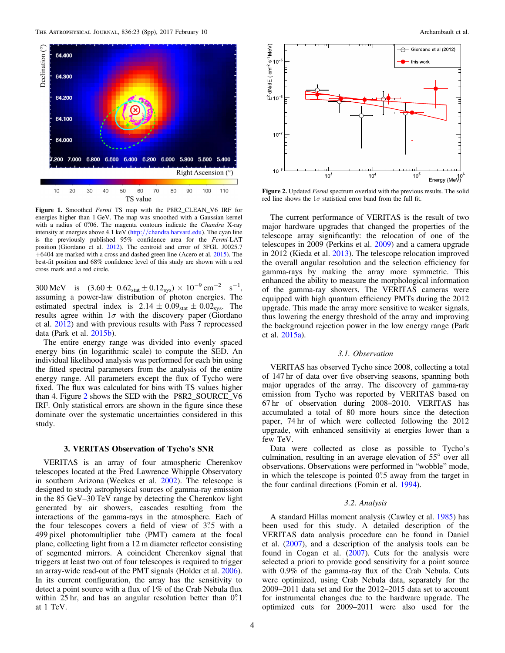<span id="page-4-0"></span>

Figure 1. Smoothed Fermi TS map with the P8R2\_CLEAN\_V6 IRF for energies higher than 1 GeV. The map was smoothed with a Gaussian kernel with a radius of  $0^{\circ}06$ . The magenta contours indicate the *Chandra* X-ray intensity at energies above 4.1 keV (http://[chandra.harvard.edu](http://chandra.harvard.edu)). The cyan line is the previously published 95% confidence area for the Fermi-LAT position (Giordano et al. [2012](#page-8-24)). The centroid and error of 3FGL J0025.7 +6404 are marked with a cross and dashed green line (Acero et al. [2015](#page-7-2)). The best-fit position and 68% confidence level of this study are shown with a red cross mark and a red circle.

300 MeV is  $(3.60 \pm 0.62<sub>stat</sub> \pm 0.12<sub>sys</sub>) \times 10^{-9}$  cm<sup>-2</sup> s<sup>-1</sup>, assuming a power-law distribution of photon energies. The estimated spectral index is  $2.14 \pm 0.09_{stat} \pm 0.02_{sys}$ . The results agree within  $1\sigma$  with the discovery paper (Giordano et al. [2012](#page-8-24)) and with previous results with Pass 7 reprocessed data (Park et al. [2015b](#page-8-38)).

The entire energy range was divided into evenly spaced energy bins (in logarithmic scale) to compute the SED. An individual likelihood analysis was performed for each bin using the fitted spectral parameters from the analysis of the entire energy range. All parameters except the flux of Tycho were fixed. The flux was calculated for bins with TS values higher than 4. Figure [2](#page-4-1) shows the SED with the P8R2\_SOURCE\_V6 IRF. Only statistical errors are shown in the figure since these dominate over the systematic uncertainties considered in this study.

#### 3. VERITAS Observation of Tycho's SNR

VERITAS is an array of four atmospheric Cherenkov telescopes located at the Fred Lawrence Whipple Observatory in southern Arizona (Weekes et al. [2002](#page-8-39)). The telescope is designed to study astrophysical sources of gamma-ray emission in the 85 GeV–30 TeV range by detecting the Cherenkov light generated by air showers, cascades resulting from the interactions of the gamma-rays in the atmosphere. Each of the four telescopes covers a field of view of  $3^\circ$ . 5 with a 499 pixel photomultiplier tube (PMT) camera at the focal plane, collecting light from a 12 m diameter reflector consisting of segmented mirrors. A coincident Cherenkov signal that triggers at least two out of four telescopes is required to trigger an array-wide read-out of the PMT signals (Holder et al. [2006](#page-8-40)). In its current configuration, the array has the sensitivity to detect a point source with a flux of 1% of the Crab Nebula flux within 25 hr, and has an angular resolution better than  $0^{\circ}$ . at 1 TeV.

<span id="page-4-1"></span>

Figure 2. Updated Fermi spectrum overlaid with the previous results. The solid red line shows the  $1\sigma$  statistical error band from the full fit.

The current performance of VERITAS is the result of two major hardware upgrades that changed the properties of the telescope array significantly: the relocation of one of the telescopes in 2009 (Perkins et al. [2009](#page-8-41)) and a camera upgrade in 2012 (Kieda et al. [2013](#page-8-42)). The telescope relocation improved the overall angular resolution and the selection efficiency for gamma-rays by making the array more symmetric. This enhanced the ability to measure the morphological information of the gamma-ray showers. The VERITAS cameras were equipped with high quantum efficiency PMTs during the 2012 upgrade. This made the array more sensitive to weaker signals, thus lowering the energy threshold of the array and improving the background rejection power in the low energy range (Park et al. [2015a](#page-8-37)).

#### 3.1. Observation

VERITAS has observed Tycho since 2008, collecting a total of 147 hr of data over five observing seasons, spanning both major upgrades of the array. The discovery of gamma-ray emission from Tycho was reported by VERITAS based on 67 hr of observation during 2008–2010. VERITAS has accumulated a total of 80 more hours since the detection paper, 74 hr of which were collected following the 2012 upgrade, with enhanced sensitivity at energies lower than a few TeV.

Data were collected as close as possible to Tycho's culmination, resulting in an average elevation of 55° over all observations. Observations were performed in "wobble" mode, in which the telescope is pointed  $0^\circ$ . 5 away from the target in the four cardinal directions (Fomin et al. [1994](#page-8-43)).

## 3.2. Analysis

A standard Hillas moment analysis (Cawley et al. [1985](#page-8-44)) has been used for this study. A detailed description of the VERITAS data analysis procedure can be found in Daniel et al. ([2007](#page-8-45)), and a description of the analysis tools can be found in Cogan et al. ([2007](#page-8-46)). Cuts for the analysis were selected a priori to provide good sensitivity for a point source with 0.9% of the gamma-ray flux of the Crab Nebula. Cuts were optimized, using Crab Nebula data, separately for the 2009–2011 data set and for the 2012–2015 data set to account for instrumental changes due to the hardware upgrade. The optimized cuts for 2009–2011 were also used for the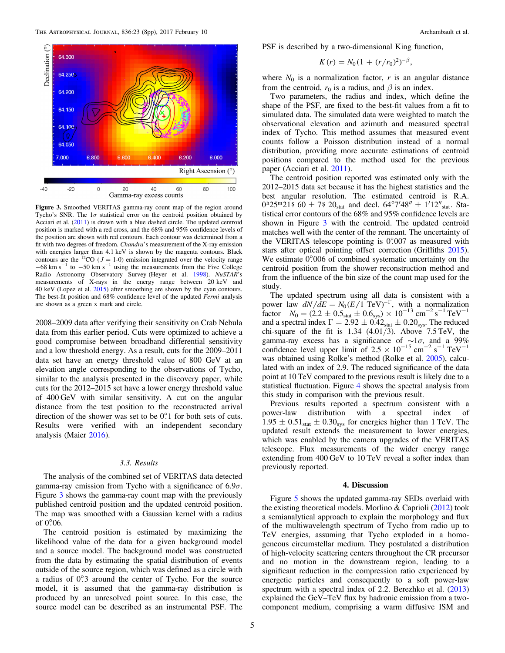<span id="page-5-0"></span>

Figure 3. Smoothed VERITAS gamma-ray count map of the region around Tycho's SNR. The  $1\sigma$  statistical error on the centroid position obtained by Acciari et al. ([2011](#page-7-1)) is drawn with a blue dashed circle. The updated centroid position is marked with a red cross, and the 68% and 95% confidence levels of the position are shown with red contours. Each contour was determined from a fit with two degrees of freedom. Chandra's measurement of the X-ray emission with energies larger than 4.1 keV is shown by the magenta contours. Black contours are the <sup>12</sup>CO ( $J = 1$ -0) emission integrated over the velocity range  $-68$  km s<sup>-1</sup> to  $-50$  km s<sup>-1</sup> using the measurements from the Five College Radio Astronomy Observatory Survey (Heyer et al. [1998](#page-8-50)). NuSTAR's measurements of X-rays in the energy range between 20 keV and 40 keV (Lopez et al. [2015](#page-8-21)) after smoothing are shown by the cyan contours. The best-fit position and 68% confidence level of the updated Fermi analysis are shown as a green x mark and circle.

2008–2009 data after verifying their sensitivity on Crab Nebula data from this earlier period. Cuts were optimized to achieve a good compromise between broadband differential sensitivity and a low threshold energy. As a result, cuts for the 2009–2011 data set have an energy threshold value of 800 GeV at an elevation angle corresponding to the observations of Tycho, similar to the analysis presented in the discovery paper, while cuts for the 2012–2015 set have a lower energy threshold value of 400 GeV with similar sensitivity. A cut on the angular distance from the test position to the reconstructed arrival direction of the shower was set to be 0°.1 for both sets of cuts. Results were verified with an independent secondary analysis (Maier [2016](#page-8-47)).

#### 3.3. Results

The analysis of the combined set of VERITAS data detected gamma-ray emission from Tycho with a significance of  $6.9\sigma$ . Figure [3](#page-5-0) shows the gamma-ray count map with the previously published centroid position and the updated centroid position. The map was smoothed with a Gaussian kernel with a radius of 0°.06.

The centroid position is estimated by maximizing the likelihood value of the data for a given background model and a source model. The background model was constructed from the data by estimating the spatial distribution of events outside of the source region, which was defined as a circle with a radius of 0°.3 around the center of Tycho. For the source model, it is assumed that the gamma-ray distribution is produced by an unresolved point source. In this case, the source model can be described as an instrumental PSF. The

PSF is described by a two-dimensional King function,

$$
K(r) = N_0 (1 + (r/r_0)^2)^{-\beta},
$$

where  $N_0$  is a normalization factor, r is an angular distance from the centroid,  $r_0$  is a radius, and  $\beta$  is an index.

Two parameters, the radius and index, which define the shape of the PSF, are fixed to the best-fit values from a fit to simulated data. The simulated data were weighted to match the observational elevation and azimuth and measured spectral index of Tycho. This method assumes that measured event counts follow a Poisson distribution instead of a normal distribution, providing more accurate estimations of centroid positions compared to the method used for the previous paper (Acciari et al. [2011](#page-7-1)).

The centroid position reported was estimated only with the 2012–2015 data set because it has the highest statistics and the best angular resolution. The estimated centroid is R.A.  $0^{\text{h}}25^{\text{m}}21\,$  60  $\pm$  7.8  $20_{\text{stat}}$  and decl.  $64^{\circ}7'48'' \pm 1'12''_{\text{stat}}$ . Statistical error contours of the 68% and 95% confidence levels are shown in Figure [3](#page-5-0) with the centroid. The updated centroid matches well with the center of the remnant. The uncertainty of the VERITAS telescope pointing is  $0^{\circ}007$  as measured with stars after optical pointing offset correction (Griffiths [2015](#page-8-48)). We estimate  $0^{\circ}006$  of combined systematic uncertainty on the centroid position from the shower reconstruction method and from the influence of the bin size of the count map used for the study.

The updated spectrum using all data is consistent with a power law  $dN/dE = N_0 (E/1~\text{TeV})^{-\Gamma}$ , with a normalization factor  $N_0 = (2.2 \pm 0.5) + (1.6 \text{ s}) \times 10^{-13} \text{ cm}^{-2} \text{ s}^{-1} \text{ TeV}^{-1}$ and a spectral index  $\Gamma = 2.92 \pm 0.42_{\text{stat}} \pm 0.20_{\text{sys}}$ . The reduced chi-square of the fit is  $1.34$   $(4.01/3)$ . Above  $7.5 \text{ TeV}$ , the gamma-ray excess has a significance of  $\sim 1\sigma$ , and a 99% confidence level upper limit of  $2.5 \times 10^{-15}$  cm<sup>-2</sup> s<sup>-1</sup> TeV<sup>-1</sup> was obtained using Rolke's method (Rolke et al. [2005](#page-8-49)), calculated with an index of 2.9. The reduced significance of the data point at 10 TeV compared to the previous result is likely due to a statistical fluctuation. Figure [4](#page-6-0) shows the spectral analysis from this study in comparison with the previous result.

Previous results reported a spectrum consistent with a power-law distribution with a spectral index of  $1.95 \pm 0.51<sub>stat</sub> \pm 0.30<sub>sys</sub>$  for energies higher than 1 TeV. The updated result extends the measurement to lower energies, which was enabled by the camera upgrades of the VERITAS telescope. Flux measurements of the wider energy range extending from 400 GeV to 10 TeV reveal a softer index than previously reported.

#### 4. Discussion

Figure [5](#page-6-1) shows the updated gamma-ray SEDs overlaid with the existing theoretical models. Morlino & Caprioli ([2012](#page-8-26)) took a semianalytical approach to explain the morphology and flux of the multiwavelength spectrum of Tycho from radio up to TeV energies, assuming that Tycho exploded in a homogeneous circumstellar medium. They postulated a distribution of high-velocity scattering centers throughout the CR precursor and no motion in the downstream region, leading to a significant reduction in the compression ratio experienced by energetic particles and consequently to a soft power-law spectrum with a spectral index of 2.2. Berezhko et al. ([2013](#page-8-27)) explained the GeV–TeV flux by hadronic emission from a twocomponent medium, comprising a warm diffusive ISM and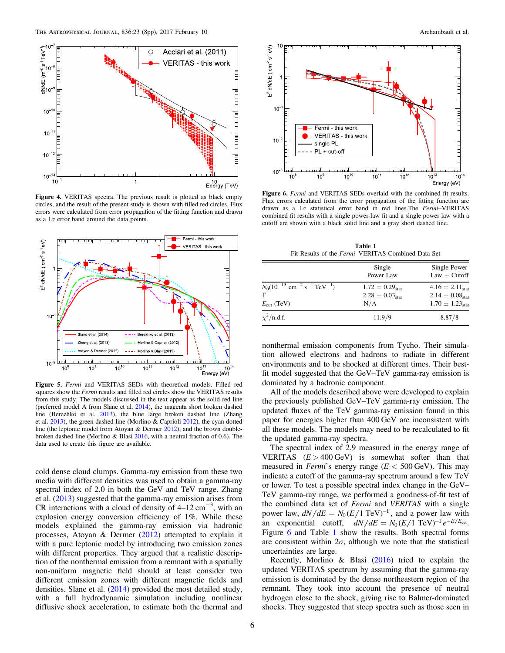<span id="page-6-0"></span>

Figure 4. VERITAS spectra. The previous result is plotted as black empty circles, and the result of the present study is shown with filled red circles. Flux errors were calculated from error propagation of the fitting function and drawn as a  $1\sigma$  error band around the data points.

<span id="page-6-1"></span>

Figure 5. Fermi and VERITAS SEDs with theoretical models. Filled red squares show the Fermi results and filled red circles show the VERITAS results from this study. The models discussed in the text appear as the solid red line (preferred model A from Slane et al. [2014](#page-8-29)), the magenta short broken dashed line (Berezhko et al. [2013](#page-8-27)), the blue large broken dashed line (Zhang et al. [2013](#page-8-28)), the green dashed line (Morlino & Caprioli [2012](#page-8-26)), the cyan dotted line (the leptonic model from Atoyan & Dermer [2012](#page-8-25)), and the brown doublebroken dashed line (Morlino & Blasi [2016](#page-8-51), with a neutral fraction of 0.6). The data used to create this figure are available.

cold dense cloud clumps. Gamma-ray emission from these two media with different densities was used to obtain a gamma-ray spectral index of 2.0 in both the GeV and TeV range. Zhang et al. ([2013](#page-8-28)) suggested that the gamma-ray emission arises from CR interactions with a cloud of density of  $4-12 \text{ cm}^{-3}$ , with an explosion energy conversion efficiency of 1%. While these models explained the gamma-ray emission via hadronic processes, Atoyan & Dermer ([2012](#page-8-25)) attempted to explain it with a pure leptonic model by introducing two emission zones with different properties. They argued that a realistic description of the nonthermal emission from a remnant with a spatially non-uniform magnetic field should at least consider two different emission zones with different magnetic fields and densities. Slane et al. ([2014](#page-8-29)) provided the most detailed study, with a full hydrodynamic simulation including nonlinear diffusive shock acceleration, to estimate both the thermal and

<span id="page-6-2"></span>

Figure 6. Fermi and VERITAS SEDs overlaid with the combined fit results. Flux errors calculated from the error propagation of the fitting function are drawn as a  $1\sigma$  statistical error band in red lines. The Fermi-VERITAS combined fit results with a single power-law fit and a single power law with a cutoff are shown with a black solid line and a gray short dashed line.

Table 1 Fit Results of the Fermi–VERITAS Combined Data Set

<span id="page-6-3"></span>

|                                                                                                    | Single<br>Power Law                                     | Single Power<br>$Law + Cutoff$                                                      |
|----------------------------------------------------------------------------------------------------|---------------------------------------------------------|-------------------------------------------------------------------------------------|
| $N_0(10^{-13}$ cm <sup>-2</sup> s <sup>-1</sup> TeV <sup>-1</sup> )<br>г<br>$E_{\text{cut}}$ (TeV) | $1.72 \pm 0.29_{stat}$<br>$2.28 \pm 0.03_{stat}$<br>N/A | $4.16 \pm 2.11_{stat}$<br>$2.14 \pm 0.08_{stat}$<br>$1.70 \pm 1.23$ <sub>stat</sub> |
| $\chi^2$ /n.d.f.                                                                                   | 11.9/9                                                  | 8.87/8                                                                              |

nonthermal emission components from Tycho. Their simulation allowed electrons and hadrons to radiate in different environments and to be shocked at different times. Their bestfit model suggested that the GeV–TeV gamma-ray emission is dominated by a hadronic component.

All of the models described above were developed to explain the previously published GeV–TeV gamma-ray emission. The updated fluxes of the TeV gamma-ray emission found in this paper for energies higher than 400 GeV are inconsistent with all these models. The models may need to be recalculated to fit the updated gamma-ray spectra.

The spectral index of 2.9 measured in the energy range of VERITAS  $(E > 400 \text{ GeV})$  is somewhat softer than that measured in *Fermi*'s energy range ( $E < 500$  GeV). This may indicate a cutoff of the gamma-ray spectrum around a few TeV or lower. To test a possible spectral index change in the GeV– TeV gamma-ray range, we performed a goodness-of-fit test of the combined data set of Fermi and VERITAS with a single power law,  $dN/dE = N_0 (E/1 \text{ TeV})^{-\Gamma}$ , and a power law with an exponential cutoff,  $dN/dE = N_0 (E/1 \text{ TeV})^{-\Gamma} e^{-E/E_{\text{cut}}}.$ Figure [6](#page-6-2) and Table [1](#page-6-3) show the results. Both spectral forms are consistent within  $2\sigma$ , although we note that the statistical uncertainties are large.

Recently, Morlino & Blasi ([2016](#page-8-51)) tried to explain the updated VERITAS spectrum by assuming that the gamma-ray emission is dominated by the dense northeastern region of the remnant. They took into account the presence of neutral hydrogen close to the shock, giving rise to Balmer-dominated shocks. They suggested that steep spectra such as those seen in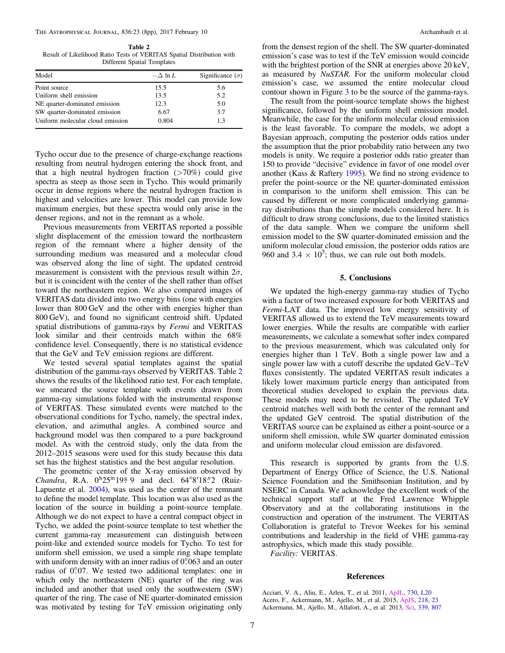<span id="page-7-3"></span>Table 2 Result of Likelihood Ratio Tests of VERITAS Spatial Distribution with Different Spatial Templates

| Model                            | $-\Delta \ln L$ | Significance $(\sigma)$ |
|----------------------------------|-----------------|-------------------------|
| Point source                     | 15.5            | 5.6                     |
| Uniform shell emission           | 13.5            | 5.2                     |
| NE quarter-dominated emission    | 12.3            | 5.0                     |
| SW quarter-dominated emission    | 6.67            | 3.7                     |
| Uniform molecular cloud emission | 0.804           | 1.3                     |

Tycho occur due to the presence of charge-exchange reactions resulting from neutral hydrogen entering the shock front, and that a high neutral hydrogen fraction  $(>70%)$  could give spectra as steep as those seen in Tycho. This would primarily occur in dense regions where the neutral hydrogen fraction is highest and velocities are lower. This model can provide low maximum energies, but these spectra would only arise in the denser regions, and not in the remnant as a whole.

Previous measurements from VERITAS reported a possible slight displacement of the emission toward the northeastern region of the remnant where a higher density of the surrounding medium was measured and a molecular cloud was observed along the line of sight. The updated centroid measurement is consistent with the previous result within  $2\sigma$ , but it is coincident with the center of the shell rather than offset toward the northeastern region. We also compared images of VERITAS data divided into two energy bins (one with energies lower than 800 GeV and the other with energies higher than 800 GeV), and found no significant centroid shift. Updated spatial distributions of gamma-rays by Fermi and VERITAS look similar and their centroids match within the 68% confidence level. Consequently, there is no statistical evidence that the GeV and TeV emission regions are different.

We tested several spatial templates against the spatial distribution of the gamma-rays observed by VERITAS. Table [2](#page-7-3) shows the results of the likelihood ratio test. For each template, we smeared the source template with events drawn from gamma-ray simulations folded with the instrumental response of VERITAS. These simulated events were matched to the observational conditions for Tycho, namely, the spectral index, elevation, and azimuthal angles. A combined source and background model was then compared to a pure background model. As with the centroid study, only the data from the 2012–2015 seasons were used for this study because this data set has the highest statistics and the best angular resolution.

The geometric center of the X-ray emission observed by Chandra, R.A.  $0^{h}25^{m}1959$  and decl.  $64^{\circ}8'18''2$  (Ruiz-Lapuente et al. [2004](#page-8-52)), was used as the center of the remnant to define the model template. This location was also used as the location of the source in building a point-source template. Although we do not expect to have a central compact object in Tycho, we added the point-source template to test whether the current gamma-ray measurement can distinguish between point-like and extended source models for Tycho. To test for uniform shell emission, we used a simple ring shape template with uniform density with an inner radius of 0°.063 and an outer radius of 0°07. We tested two additional templates: one in which only the northeastern (NE) quarter of the ring was included and another that used only the southwestern (SW) quarter of the ring. The case of NE quarter-dominated emission was motivated by testing for TeV emission originating only

from the densest region of the shell. The SW quarter-dominated emission's case was to test if the TeV emission would coincide with the brightest portion of the SNR at energies above 20 keV, as measured by NuSTAR. For the uniform molecular cloud emission's case, we assumed the entire molecular cloud contour shown in Figure [3](#page-5-0) to be the source of the gamma-rays.

The result from the point-source template shows the highest significance, followed by the uniform shell emission model. Meanwhile, the case for the uniform molecular cloud emission is the least favorable. To compare the models, we adopt a Bayesian approach, computing the posterior odds ratios under the assumption that the prior probability ratio between any two models is unity. We require a posterior odds ratio greater than 150 to provide "decisive" evidence in favor of one model over another (Kass & Raftery [1995](#page-8-53)). We find no strong evidence to prefer the point-source or the NE quarter-dominated emission in comparison to the uniform shell emission. This can be caused by different or more complicated underlying gammaray distributions than the simple models considered here. It is difficult to draw strong conclusions, due to the limited statistics of the data sample. When we compare the uniform shell emission model to the SW quarter-dominated emission and the uniform molecular cloud emission, the posterior odds ratios are 960 and 3.4  $\times$  10<sup>5</sup>; thus, we can rule out both models.

#### 5. Conclusions

We updated the high-energy gamma-ray studies of Tycho with a factor of two increased exposure for both VERITAS and Fermi-LAT data. The improved low energy sensitivity of VERITAS allowed us to extend the TeV measurements toward lower energies. While the results are compatible with earlier measurements, we calculate a somewhat softer index compared to the previous measurement, which was calculated only for energies higher than 1 TeV. Both a single power law and a single power law with a cutoff describe the updated GeV–TeV fluxes consistently. The updated VERITAS result indicates a likely lower maximum particle energy than anticipated from theoretical studies developed to explain the previous data. These models may need to be revisited. The updated TeV centroid matches well with both the center of the remnant and the updated GeV centroid. The spatial distribution of the VERITAS source can be explained as either a point-source or a uniform shell emission, while SW quarter dominated emission and uniform molecular cloud emission are disfavored.

This research is supported by grants from the U.S. Department of Energy Office of Science, the U.S. National Science Foundation and the Smithsonian Institution, and by NSERC in Canada. We acknowledge the excellent work of the technical support staff at the Fred Lawrence Whipple Observatory and at the collaborating institutions in the construction and operation of the instrument. The VERITAS Collaboration is grateful to Trevor Weekes for his seminal contributions and leadership in the field of VHE gamma-ray astrophysics, which made this study possible.

Facility: VERITAS.

#### References

<span id="page-7-2"></span><span id="page-7-1"></span><span id="page-7-0"></span>Acciari, V. A., Aliu, E., Arlen, T., et al. 2011, [ApJL](http://dx.doi.org/10.1088/2041-8205/730/2/L20), [730, L20](http://adsabs.harvard.edu/abs/2011ApJ...730L..20A) Acero, F., Ackermann, M., Ajello, M., et al. 2015, [ApJS](http://dx.doi.org/10.1088/0067-0049/218/2/23), [218, 23](http://adsabs.harvard.edu/abs/2015ApJS..218...23A) Ackermann, M., Ajello, M., Allafort, A., et al. 2013, [Sci](http://dx.doi.org/10.1126/science.1231160), [339, 807](http://adsabs.harvard.edu/abs/2013Sci...339..807A)